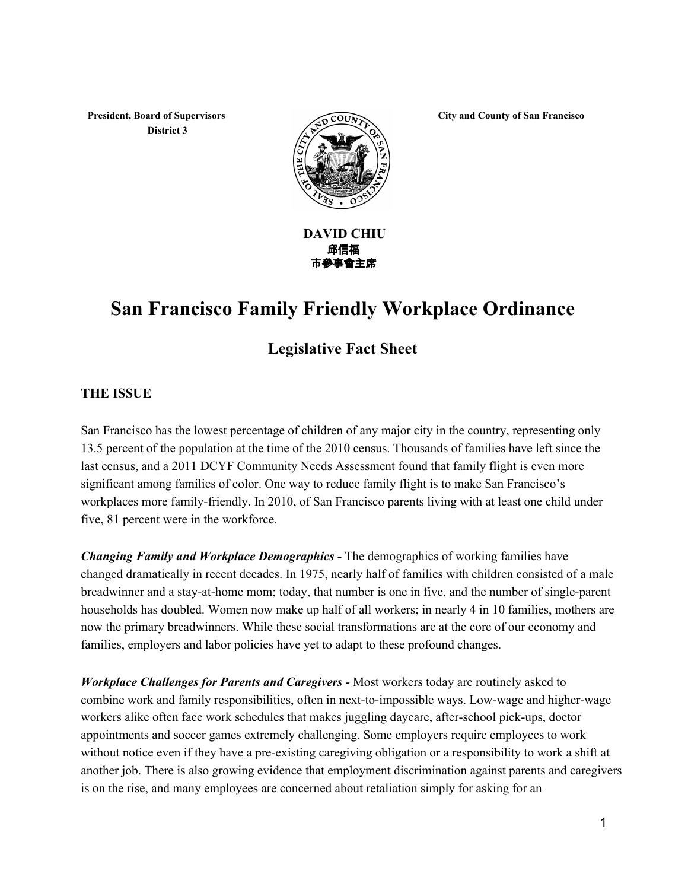**President, Board of Supervisors District 3**



**City and County of San Francisco**

#### **DAVID CHIU** 邱信福 市參事會主席

# **San Francisco Family Friendly Workplace Ordinance**

# **Legislative Fact Sheet**

#### **THE ISSUE**

San Francisco has the lowest percentage of children of any major city in the country, representing only 13.5 percent of the population at the time of the 2010 census. Thousands of families have left since the last census, and a 2011 DCYF Community Needs Assessment found that family flight is even more significant among families of color. One way to reduce family flight is to make San Francisco's workplaces more family-friendly. In 2010, of San Francisco parents living with at least one child under five, 81 percent were in the workforce.

*Changing Family and Workplace Demographics* The demographics of working families have changed dramatically in recent decades. In 1975, nearly half of families with children consisted of a male breadwinner and a stay-at-home mom; today, that number is one in five, and the number of single-parent households has doubled. Women now make up half of all workers; in nearly 4 in 10 families, mothers are now the primary breadwinners. While these social transformations are at the core of our economy and families, employers and labor policies have yet to adapt to these profound changes.

*Workplace Challenges for Parents and Caregivers* Most workers today are routinely asked to combine work and family responsibilities, often in next-to-impossible ways. Low-wage and higher-wage workers alike often face work schedules that makes juggling daycare, after-school pick-ups, doctor appointments and soccer games extremely challenging. Some employers require employees to work without notice even if they have a pre-existing caregiving obligation or a responsibility to work a shift at another job. There is also growing evidence that employment discrimination against parents and caregivers is on the rise, and many employees are concerned about retaliation simply for asking for an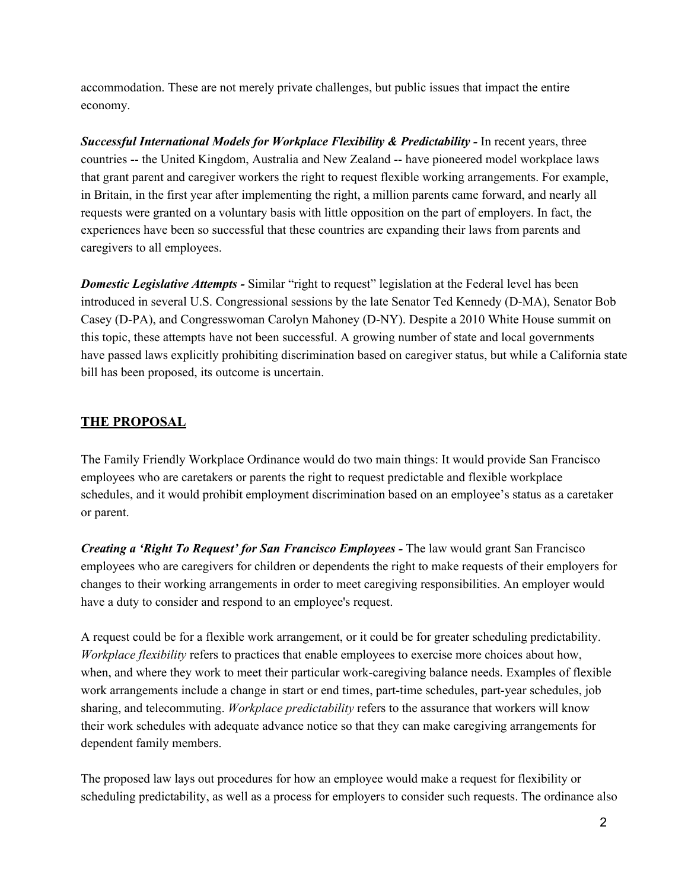accommodation. These are not merely private challenges, but public issues that impact the entire economy.

*Successful International Models for Workplace Flexibility & Predictability* In recent years, three countries -- the United Kingdom, Australia and New Zealand -- have pioneered model workplace laws that grant parent and caregiver workers the right to request flexible working arrangements. For example, in Britain, in the first year after implementing the right, a million parents came forward, and nearly all requests were granted on a voluntary basis with little opposition on the part of employers. In fact, the experiences have been so successful that these countries are expanding their laws from parents and caregivers to all employees.

*Domestic Legislative Attempts* - Similar "right to request" legislation at the Federal level has been introduced in several U.S. Congressional sessions by the late Senator Ted Kennedy (D-MA), Senator Bob Casey (D-PA), and Congresswoman Carolyn Mahoney (D-NY). Despite a 2010 White House summit on this topic, these attempts have not been successful. A growing number of state and local governments have passed laws explicitly prohibiting discrimination based on caregiver status, but while a California state bill has been proposed, its outcome is uncertain.

### **THE PROPOSAL**

The Family Friendly Workplace Ordinance would do two main things: It would provide San Francisco employees who are caretakers or parents the right to request predictable and flexible workplace schedules, and it would prohibit employment discrimination based on an employee's status as a caretaker or parent.

*Creating a 'Right To Request' for San Francisco Employees* The law would grant San Francisco employees who are caregivers for children or dependents the right to make requests of their employers for changes to their working arrangements in order to meet caregiving responsibilities. An employer would have a duty to consider and respond to an employee's request.

A request could be for a flexible work arrangement, or it could be for greater scheduling predictability. *Workplace flexibility* refers to practices that enable employees to exercise more choices about how, when, and where they work to meet their particular work-caregiving balance needs. Examples of flexible work arrangements include a change in start or end times, part-time schedules, part-year schedules, job sharing, and telecommuting. *Workplace predictability* refers to the assurance that workers will know their work schedules with adequate advance notice so that they can make caregiving arrangements for dependent family members.

The proposed law lays out procedures for how an employee would make a request for flexibility or scheduling predictability, as well as a process for employers to consider such requests. The ordinance also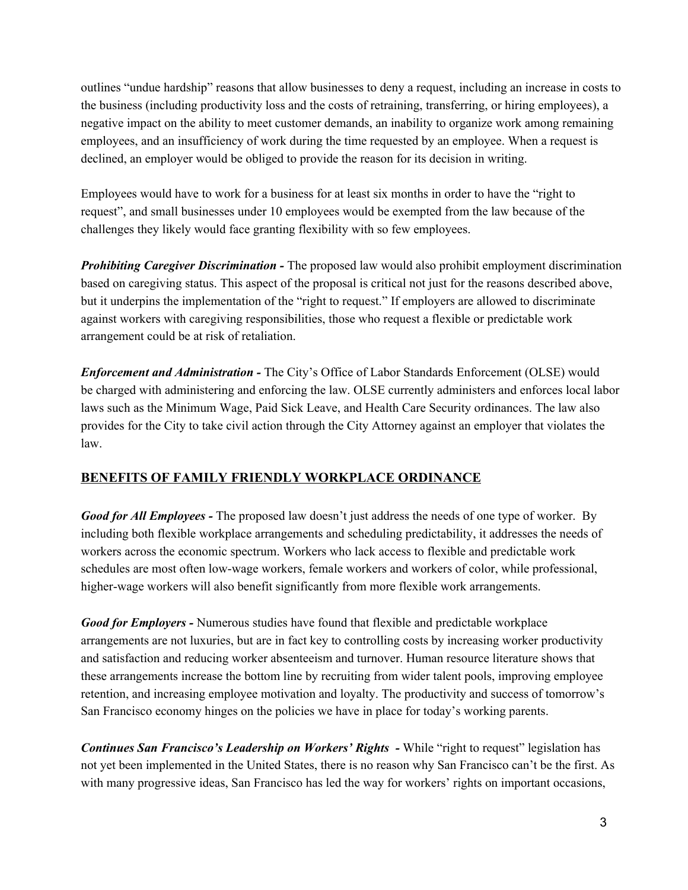outlines "undue hardship" reasons that allow businesses to deny a request, including an increase in costs to the business (including productivity loss and the costs of retraining, transferring, or hiring employees), a negative impact on the ability to meet customer demands, an inability to organize work among remaining employees, and an insufficiency of work during the time requested by an employee. When a request is declined, an employer would be obliged to provide the reason for its decision in writing.

Employees would have to work for a business for at least six months in order to have the "right to request", and small businesses under 10 employees would be exempted from the law because of the challenges they likely would face granting flexibility with so few employees.

**Prohibiting Caregiver Discrimination -** The proposed law would also prohibit employment discrimination based on caregiving status. This aspect of the proposal is critical not just for the reasons described above, but it underpins the implementation of the "right to request." If employers are allowed to discriminate against workers with caregiving responsibilities, those who request a flexible or predictable work arrangement could be at risk of retaliation.

*Enforcement and Administration* The City's Office of Labor Standards Enforcement (OLSE) would be charged with administering and enforcing the law. OLSE currently administers and enforces local labor laws such as the Minimum Wage, Paid Sick Leave, and Health Care Security ordinances. The law also provides for the City to take civil action through the City Attorney against an employer that violates the law.

## **BENEFITS OF FAMILY FRIENDLY WORKPLACE ORDINANCE**

*Good for All Employees* The proposed law doesn't just address the needs of one type of worker. By including both flexible workplace arrangements and scheduling predictability, it addresses the needs of workers across the economic spectrum. Workers who lack access to flexible and predictable work schedules are most often low-wage workers, female workers and workers of color, while professional, higher-wage workers will also benefit significantly from more flexible work arrangements.

*Good for Employers* - Numerous studies have found that flexible and predictable workplace arrangements are not luxuries, but are in fact key to controlling costs by increasing worker productivity and satisfaction and reducing worker absenteeism and turnover. Human resource literature shows that these arrangements increase the bottom line by recruiting from wider talent pools, improving employee retention, and increasing employee motivation and loyalty. The productivity and success of tomorrow's San Francisco economy hinges on the policies we have in place for today's working parents.

*Continues San Francisco's Leadership on Workers' Rights - While "right to request" legislation has* not yet been implemented in the United States, there is no reason why San Francisco can't be the first. As with many progressive ideas, San Francisco has led the way for workers' rights on important occasions,